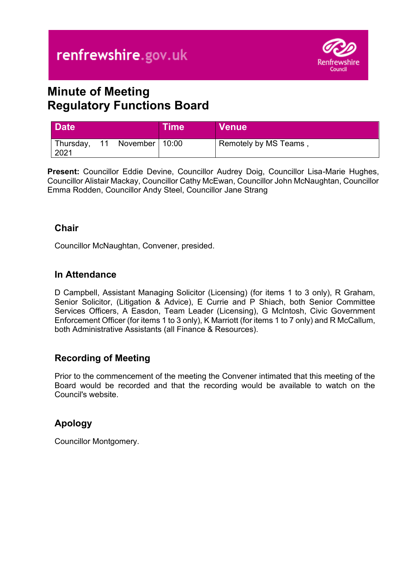

# **Minute of Meeting Regulatory Functions Board**

| <b>Date</b>       |                     | <b>Time</b> | <b>Venue</b>          |
|-------------------|---------------------|-------------|-----------------------|
| Thursday,<br>2021 | 11 November   10:00 |             | Remotely by MS Teams, |

**Present:** Councillor Eddie Devine, Councillor Audrey Doig, Councillor Lisa-Marie Hughes, Councillor Alistair Mackay, Councillor Cathy McEwan, Councillor John McNaughtan, Councillor Emma Rodden, Councillor Andy Steel, Councillor Jane Strang

### **Chair**

Councillor McNaughtan, Convener, presided.

### **In Attendance**

D Campbell, Assistant Managing Solicitor (Licensing) (for items 1 to 3 only), R Graham, Senior Solicitor, (Litigation & Advice), E Currie and P Shiach, both Senior Committee Services Officers, A Easdon, Team Leader (Licensing), G McIntosh, Civic Government Enforcement Officer (for items 1 to 3 only), K Marriott (for items 1 to 7 only) and R McCallum, both Administrative Assistants (all Finance & Resources).

### **Recording of Meeting**

Prior to the commencement of the meeting the Convener intimated that this meeting of the Board would be recorded and that the recording would be available to watch on the Council's website.

# **Apology**

Councillor Montgomery.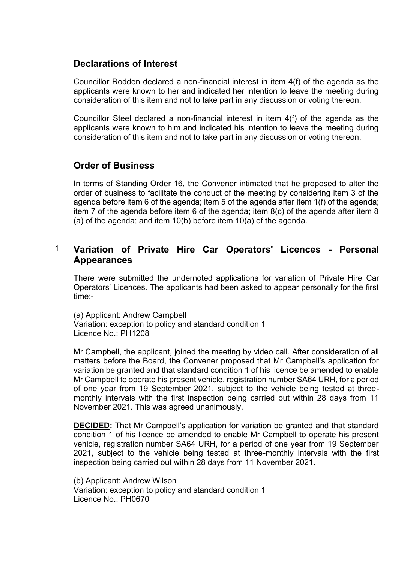### **Declarations of Interest**

Councillor Rodden declared a non-financial interest in item 4(f) of the agenda as the applicants were known to her and indicated her intention to leave the meeting during consideration of this item and not to take part in any discussion or voting thereon.

Councillor Steel declared a non-financial interest in item 4(f) of the agenda as the applicants were known to him and indicated his intention to leave the meeting during consideration of this item and not to take part in any discussion or voting thereon.

### **Order of Business**

In terms of Standing Order 16, the Convener intimated that he proposed to alter the order of business to facilitate the conduct of the meeting by considering item 3 of the agenda before item 6 of the agenda; item 5 of the agenda after item 1(f) of the agenda; item 7 of the agenda before item 6 of the agenda; item 8(c) of the agenda after item 8 (a) of the agenda; and item 10(b) before item 10(a) of the agenda.

### 1 **Variation of Private Hire Car Operators' Licences - Personal Appearances**

There were submitted the undernoted applications for variation of Private Hire Car Operators' Licences. The applicants had been asked to appear personally for the first time:-

(a) Applicant: Andrew Campbell Variation: exception to policy and standard condition 1 Licence No.: PH1208

Mr Campbell, the applicant, joined the meeting by video call. After consideration of all matters before the Board, the Convener proposed that Mr Campbell's application for variation be granted and that standard condition 1 of his licence be amended to enable Mr Campbell to operate his present vehicle, registration number SA64 URH, for a period of one year from 19 September 2021, subject to the vehicle being tested at threemonthly intervals with the first inspection being carried out within 28 days from 11 November 2021. This was agreed unanimously.

**DECIDED:** That Mr Campbell's application for variation be granted and that standard condition 1 of his licence be amended to enable Mr Campbell to operate his present vehicle, registration number SA64 URH, for a period of one year from 19 September 2021, subject to the vehicle being tested at three-monthly intervals with the first inspection being carried out within 28 days from 11 November 2021.

(b) Applicant: Andrew Wilson Variation: exception to policy and standard condition 1 Licence No.: PH0670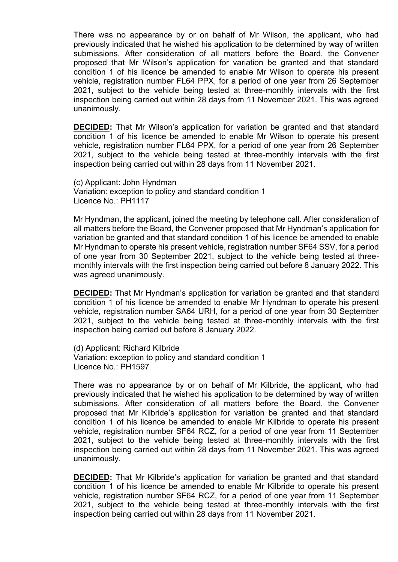There was no appearance by or on behalf of Mr Wilson, the applicant, who had previously indicated that he wished his application to be determined by way of written submissions. After consideration of all matters before the Board, the Convener proposed that Mr Wilson's application for variation be granted and that standard condition 1 of his licence be amended to enable Mr Wilson to operate his present vehicle, registration number FL64 PPX, for a period of one year from 26 September 2021, subject to the vehicle being tested at three-monthly intervals with the first inspection being carried out within 28 days from 11 November 2021. This was agreed unanimously.

**DECIDED:** That Mr Wilson's application for variation be granted and that standard condition 1 of his licence be amended to enable Mr Wilson to operate his present vehicle, registration number FL64 PPX, for a period of one year from 26 September 2021, subject to the vehicle being tested at three-monthly intervals with the first inspection being carried out within 28 days from 11 November 2021.

(c) Applicant: John Hyndman Variation: exception to policy and standard condition 1 Licence No.: PH1117

Mr Hyndman, the applicant, joined the meeting by telephone call. After consideration of all matters before the Board, the Convener proposed that Mr Hyndman's application for variation be granted and that standard condition 1 of his licence be amended to enable Mr Hyndman to operate his present vehicle, registration number SF64 SSV, for a period of one year from 30 September 2021, subject to the vehicle being tested at threemonthly intervals with the first inspection being carried out before 8 January 2022. This was agreed unanimously.

**DECIDED:** That Mr Hyndman's application for variation be granted and that standard condition 1 of his licence be amended to enable Mr Hyndman to operate his present vehicle, registration number SA64 URH, for a period of one year from 30 September 2021, subject to the vehicle being tested at three-monthly intervals with the first inspection being carried out before 8 January 2022.

(d) Applicant: Richard Kilbride Variation: exception to policy and standard condition 1 Licence No.: PH1597

There was no appearance by or on behalf of Mr Kilbride, the applicant, who had previously indicated that he wished his application to be determined by way of written submissions. After consideration of all matters before the Board, the Convener proposed that Mr Kilbride's application for variation be granted and that standard condition 1 of his licence be amended to enable Mr Kilbride to operate his present vehicle, registration number SF64 RCZ, for a period of one year from 11 September 2021, subject to the vehicle being tested at three-monthly intervals with the first inspection being carried out within 28 days from 11 November 2021. This was agreed unanimously.

**DECIDED:** That Mr Kilbride's application for variation be granted and that standard condition 1 of his licence be amended to enable Mr Kilbride to operate his present vehicle, registration number SF64 RCZ, for a period of one year from 11 September 2021, subject to the vehicle being tested at three-monthly intervals with the first inspection being carried out within 28 days from 11 November 2021.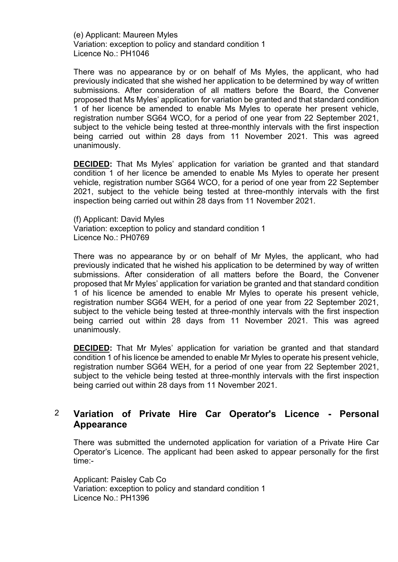(e) Applicant: Maureen Myles Variation: exception to policy and standard condition 1 Licence No.: PH1046

There was no appearance by or on behalf of Ms Myles, the applicant, who had previously indicated that she wished her application to be determined by way of written submissions. After consideration of all matters before the Board, the Convener proposed that Ms Myles' application for variation be granted and that standard condition 1 of her licence be amended to enable Ms Myles to operate her present vehicle, registration number SG64 WCO, for a period of one year from 22 September 2021, subject to the vehicle being tested at three-monthly intervals with the first inspection being carried out within 28 days from 11 November 2021. This was agreed unanimously.

**DECIDED:** That Ms Myles' application for variation be granted and that standard condition 1 of her licence be amended to enable Ms Myles to operate her present vehicle, registration number SG64 WCO, for a period of one year from 22 September 2021, subject to the vehicle being tested at three-monthly intervals with the first inspection being carried out within 28 days from 11 November 2021.

(f) Applicant: David Myles Variation: exception to policy and standard condition 1 Licence No.: PH0769

There was no appearance by or on behalf of Mr Myles, the applicant, who had previously indicated that he wished his application to be determined by way of written submissions. After consideration of all matters before the Board, the Convener proposed that Mr Myles' application for variation be granted and that standard condition 1 of his licence be amended to enable Mr Myles to operate his present vehicle, registration number SG64 WEH, for a period of one year from 22 September 2021, subject to the vehicle being tested at three-monthly intervals with the first inspection being carried out within 28 days from 11 November 2021. This was agreed unanimously.

**DECIDED:** That Mr Myles' application for variation be granted and that standard condition 1 of his licence be amended to enable Mr Myles to operate his present vehicle, registration number SG64 WEH, for a period of one year from 22 September 2021, subject to the vehicle being tested at three-monthly intervals with the first inspection being carried out within 28 days from 11 November 2021.

### 2 **Variation of Private Hire Car Operator's Licence - Personal Appearance**

There was submitted the undernoted application for variation of a Private Hire Car Operator's Licence. The applicant had been asked to appear personally for the first time:-

Applicant: Paisley Cab Co Variation: exception to policy and standard condition 1 Licence No.: PH1396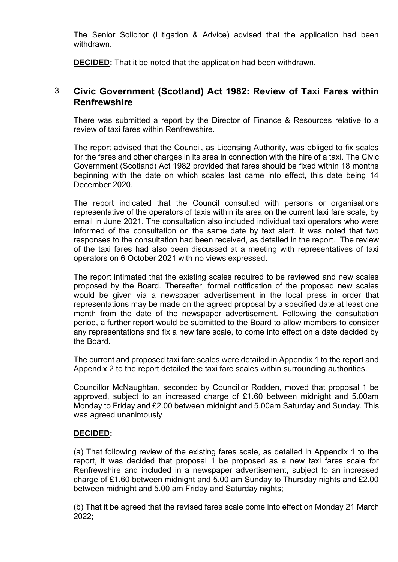The Senior Solicitor (Litigation & Advice) advised that the application had been withdrawn.

**DECIDED:** That it be noted that the application had been withdrawn.

### 3 **Civic Government (Scotland) Act 1982: Review of Taxi Fares within Renfrewshire**

There was submitted a report by the Director of Finance & Resources relative to a review of taxi fares within Renfrewshire.

The report advised that the Council, as Licensing Authority, was obliged to fix scales for the fares and other charges in its area in connection with the hire of a taxi. The Civic Government (Scotland) Act 1982 provided that fares should be fixed within 18 months beginning with the date on which scales last came into effect, this date being 14 December 2020.

The report indicated that the Council consulted with persons or organisations representative of the operators of taxis within its area on the current taxi fare scale, by email in June 2021. The consultation also included individual taxi operators who were informed of the consultation on the same date by text alert. It was noted that two responses to the consultation had been received, as detailed in the report. The review of the taxi fares had also been discussed at a meeting with representatives of taxi operators on 6 October 2021 with no views expressed.

The report intimated that the existing scales required to be reviewed and new scales proposed by the Board. Thereafter, formal notification of the proposed new scales would be given via a newspaper advertisement in the local press in order that representations may be made on the agreed proposal by a specified date at least one month from the date of the newspaper advertisement. Following the consultation period, a further report would be submitted to the Board to allow members to consider any representations and fix a new fare scale, to come into effect on a date decided by the Board.

The current and proposed taxi fare scales were detailed in Appendix 1 to the report and Appendix 2 to the report detailed the taxi fare scales within surrounding authorities.

Councillor McNaughtan, seconded by Councillor Rodden, moved that proposal 1 be approved, subject to an increased charge of £1.60 between midnight and 5.00am Monday to Friday and £2.00 between midnight and 5.00am Saturday and Sunday. This was agreed unanimously

### **DECIDED:**

(a) That following review of the existing fares scale, as detailed in Appendix 1 to the report, it was decided that proposal 1 be proposed as a new taxi fares scale for Renfrewshire and included in a newspaper advertisement, subject to an increased charge of £1.60 between midnight and 5.00 am Sunday to Thursday nights and £2.00 between midnight and 5.00 am Friday and Saturday nights;

(b) That it be agreed that the revised fares scale come into effect on Monday 21 March 2022;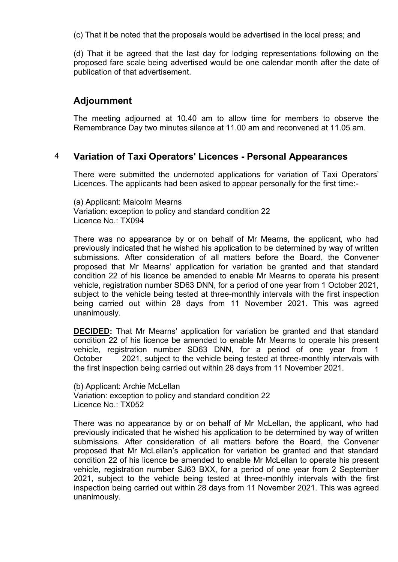(c) That it be noted that the proposals would be advertised in the local press; and

(d) That it be agreed that the last day for lodging representations following on the proposed fare scale being advertised would be one calendar month after the date of publication of that advertisement.

### **Adjournment**

The meeting adjourned at 10.40 am to allow time for members to observe the Remembrance Day two minutes silence at 11.00 am and reconvened at 11.05 am.

### 4 **Variation of Taxi Operators' Licences - Personal Appearances**

There were submitted the undernoted applications for variation of Taxi Operators' Licences. The applicants had been asked to appear personally for the first time:-

(a) Applicant: Malcolm Mearns Variation: exception to policy and standard condition 22 Licence No.: TX094

There was no appearance by or on behalf of Mr Mearns, the applicant, who had previously indicated that he wished his application to be determined by way of written submissions. After consideration of all matters before the Board, the Convener proposed that Mr Mearns' application for variation be granted and that standard condition 22 of his licence be amended to enable Mr Mearns to operate his present vehicle, registration number SD63 DNN, for a period of one year from 1 October 2021, subject to the vehicle being tested at three-monthly intervals with the first inspection being carried out within 28 days from 11 November 2021. This was agreed unanimously.

**DECIDED:** That Mr Mearns' application for variation be granted and that standard condition 22 of his licence be amended to enable Mr Mearns to operate his present vehicle, registration number SD63 DNN, for a period of one year from 1 October 2021, subject to the vehicle being tested at three-monthly intervals with the first inspection being carried out within 28 days from 11 November 2021.

(b) Applicant: Archie McLellan Variation: exception to policy and standard condition 22 Licence No.: TX052

There was no appearance by or on behalf of Mr McLellan, the applicant, who had previously indicated that he wished his application to be determined by way of written submissions. After consideration of all matters before the Board, the Convener proposed that Mr McLellan's application for variation be granted and that standard condition 22 of his licence be amended to enable Mr McLellan to operate his present vehicle, registration number SJ63 BXX, for a period of one year from 2 September 2021, subject to the vehicle being tested at three-monthly intervals with the first inspection being carried out within 28 days from 11 November 2021. This was agreed unanimously.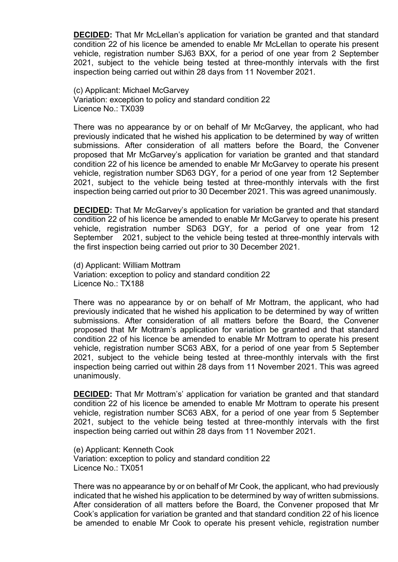**DECIDED:** That Mr McLellan's application for variation be granted and that standard condition 22 of his licence be amended to enable Mr McLellan to operate his present vehicle, registration number SJ63 BXX, for a period of one year from 2 September 2021, subject to the vehicle being tested at three-monthly intervals with the first inspection being carried out within 28 days from 11 November 2021.

(c) Applicant: Michael McGarvey Variation: exception to policy and standard condition 22 Licence No.: TX039

There was no appearance by or on behalf of Mr McGarvey, the applicant, who had previously indicated that he wished his application to be determined by way of written submissions. After consideration of all matters before the Board, the Convener proposed that Mr McGarvey's application for variation be granted and that standard condition 22 of his licence be amended to enable Mr McGarvey to operate his present vehicle, registration number SD63 DGY, for a period of one year from 12 September 2021, subject to the vehicle being tested at three-monthly intervals with the first inspection being carried out prior to 30 December 2021. This was agreed unanimously.

**DECIDED:** That Mr McGarvey's application for variation be granted and that standard condition 22 of his licence be amended to enable Mr McGarvey to operate his present vehicle, registration number SD63 DGY, for a period of one year from 12 September 2021, subject to the vehicle being tested at three-monthly intervals with the first inspection being carried out prior to 30 December 2021.

(d) Applicant: William Mottram Variation: exception to policy and standard condition 22 Licence No.: TX188

There was no appearance by or on behalf of Mr Mottram, the applicant, who had previously indicated that he wished his application to be determined by way of written submissions. After consideration of all matters before the Board, the Convener proposed that Mr Mottram's application for variation be granted and that standard condition 22 of his licence be amended to enable Mr Mottram to operate his present vehicle, registration number SC63 ABX, for a period of one year from 5 September 2021, subject to the vehicle being tested at three-monthly intervals with the first inspection being carried out within 28 days from 11 November 2021. This was agreed unanimously.

**DECIDED:** That Mr Mottram's' application for variation be granted and that standard condition 22 of his licence be amended to enable Mr Mottram to operate his present vehicle, registration number SC63 ABX, for a period of one year from 5 September 2021, subject to the vehicle being tested at three-monthly intervals with the first inspection being carried out within 28 days from 11 November 2021.

(e) Applicant: Kenneth Cook Variation: exception to policy and standard condition 22 Licence No.: TX051

There was no appearance by or on behalf of Mr Cook, the applicant, who had previously indicated that he wished his application to be determined by way of written submissions. After consideration of all matters before the Board, the Convener proposed that Mr Cook's application for variation be granted and that standard condition 22 of his licence be amended to enable Mr Cook to operate his present vehicle, registration number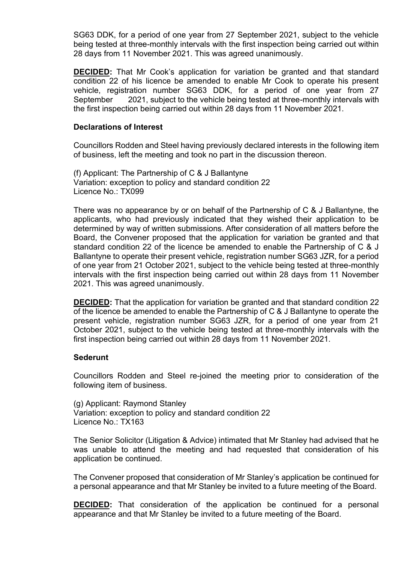SG63 DDK, for a period of one year from 27 September 2021, subject to the vehicle being tested at three-monthly intervals with the first inspection being carried out within 28 days from 11 November 2021. This was agreed unanimously.

**DECIDED:** That Mr Cook's application for variation be granted and that standard condition 22 of his licence be amended to enable Mr Cook to operate his present vehicle, registration number SG63 DDK, for a period of one year from 27 September 2021, subject to the vehicle being tested at three-monthly intervals with the first inspection being carried out within 28 days from 11 November 2021.

### **Declarations of Interest**

Councillors Rodden and Steel having previously declared interests in the following item of business, left the meeting and took no part in the discussion thereon.

(f) Applicant: The Partnership of C & J Ballantyne Variation: exception to policy and standard condition 22 Licence No.: TX099

There was no appearance by or on behalf of the Partnership of C & J Ballantyne, the applicants, who had previously indicated that they wished their application to be determined by way of written submissions. After consideration of all matters before the Board, the Convener proposed that the application for variation be granted and that standard condition 22 of the licence be amended to enable the Partnership of C & J Ballantyne to operate their present vehicle, registration number SG63 JZR, for a period of one year from 21 October 2021, subject to the vehicle being tested at three-monthly intervals with the first inspection being carried out within 28 days from 11 November 2021. This was agreed unanimously.

**DECIDED:** That the application for variation be granted and that standard condition 22 of the licence be amended to enable the Partnership of C & J Ballantyne to operate the present vehicle, registration number SG63 JZR, for a period of one year from 21 October 2021, subject to the vehicle being tested at three-monthly intervals with the first inspection being carried out within 28 days from 11 November 2021.

#### **Sederunt**

Councillors Rodden and Steel re-joined the meeting prior to consideration of the following item of business.

(g) Applicant: Raymond Stanley Variation: exception to policy and standard condition 22 Licence No.: TX163

The Senior Solicitor (Litigation & Advice) intimated that Mr Stanley had advised that he was unable to attend the meeting and had requested that consideration of his application be continued.

The Convener proposed that consideration of Mr Stanley's application be continued for a personal appearance and that Mr Stanley be invited to a future meeting of the Board.

**DECIDED:** That consideration of the application be continued for a personal appearance and that Mr Stanley be invited to a future meeting of the Board.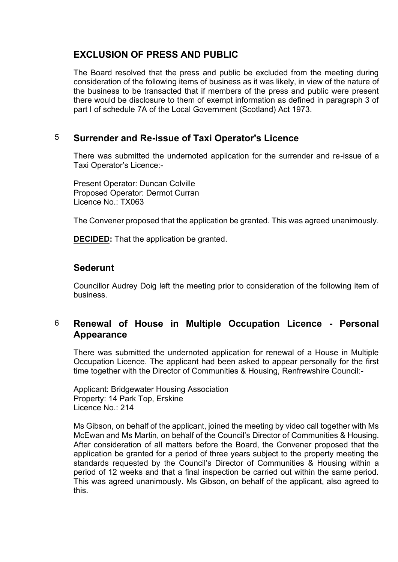## **EXCLUSION OF PRESS AND PUBLIC**

The Board resolved that the press and public be excluded from the meeting during consideration of the following items of business as it was likely, in view of the nature of the business to be transacted that if members of the press and public were present there would be disclosure to them of exempt information as defined in paragraph 3 of part I of schedule 7A of the Local Government (Scotland) Act 1973.

### 5 **Surrender and Re-issue of Taxi Operator's Licence**

There was submitted the undernoted application for the surrender and re-issue of a Taxi Operator's Licence:-

Present Operator: Duncan Colville Proposed Operator: Dermot Curran Licence No.: TX063

The Convener proposed that the application be granted. This was agreed unanimously.

**DECIDED:** That the application be granted.

### **Sederunt**

Councillor Audrey Doig left the meeting prior to consideration of the following item of business.

### 6 **Renewal of House in Multiple Occupation Licence - Personal Appearance**

There was submitted the undernoted application for renewal of a House in Multiple Occupation Licence. The applicant had been asked to appear personally for the first time together with the Director of Communities & Housing, Renfrewshire Council:-

Applicant: Bridgewater Housing Association Property: 14 Park Top, Erskine Licence No.: 214

Ms Gibson, on behalf of the applicant, joined the meeting by video call together with Ms McEwan and Ms Martin, on behalf of the Council's Director of Communities & Housing. After consideration of all matters before the Board, the Convener proposed that the application be granted for a period of three years subject to the property meeting the standards requested by the Council's Director of Communities & Housing within a period of 12 weeks and that a final inspection be carried out within the same period. This was agreed unanimously. Ms Gibson, on behalf of the applicant, also agreed to this.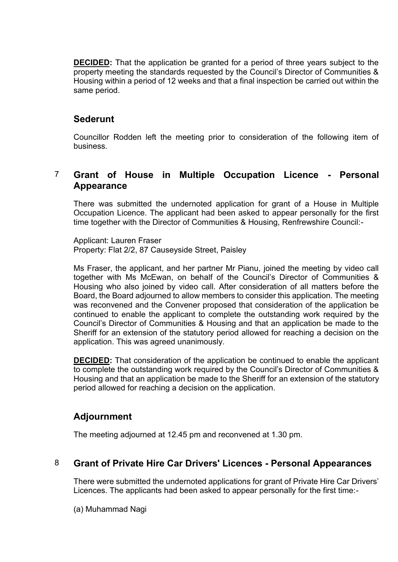**DECIDED:** That the application be granted for a period of three years subject to the property meeting the standards requested by the Council's Director of Communities & Housing within a period of 12 weeks and that a final inspection be carried out within the same period.

### **Sederunt**

Councillor Rodden left the meeting prior to consideration of the following item of business.

### 7 **Grant of House in Multiple Occupation Licence - Personal Appearance**

There was submitted the undernoted application for grant of a House in Multiple Occupation Licence. The applicant had been asked to appear personally for the first time together with the Director of Communities & Housing, Renfrewshire Council:-

Applicant: Lauren Fraser Property: Flat 2/2, 87 Causeyside Street, Paisley

Ms Fraser, the applicant, and her partner Mr Pianu, joined the meeting by video call together with Ms McEwan, on behalf of the Council's Director of Communities & Housing who also joined by video call. After consideration of all matters before the Board, the Board adjourned to allow members to consider this application. The meeting was reconvened and the Convener proposed that consideration of the application be continued to enable the applicant to complete the outstanding work required by the Council's Director of Communities & Housing and that an application be made to the Sheriff for an extension of the statutory period allowed for reaching a decision on the application. This was agreed unanimously.

**DECIDED:** That consideration of the application be continued to enable the applicant to complete the outstanding work required by the Council's Director of Communities & Housing and that an application be made to the Sheriff for an extension of the statutory period allowed for reaching a decision on the application.

# **Adjournment**

The meeting adjourned at 12.45 pm and reconvened at 1.30 pm.

### 8 **Grant of Private Hire Car Drivers' Licences - Personal Appearances**

There were submitted the undernoted applications for grant of Private Hire Car Drivers' Licences. The applicants had been asked to appear personally for the first time:-

(a) Muhammad Nagi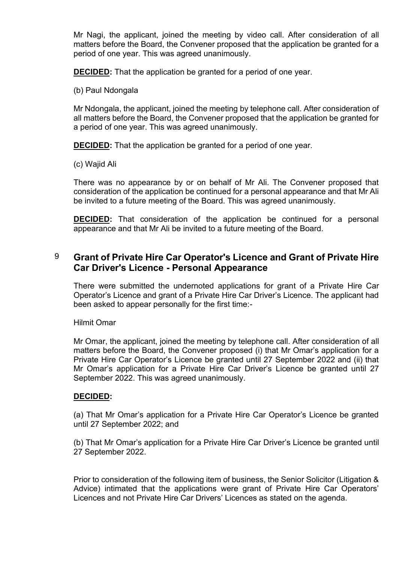Mr Nagi, the applicant, joined the meeting by video call. After consideration of all matters before the Board, the Convener proposed that the application be granted for a period of one year. This was agreed unanimously.

**DECIDED:** That the application be granted for a period of one year.

(b) Paul Ndongala

Mr Ndongala, the applicant, joined the meeting by telephone call. After consideration of all matters before the Board, the Convener proposed that the application be granted for a period of one year. This was agreed unanimously.

**DECIDED:** That the application be granted for a period of one year.

(c) Wajid Ali

There was no appearance by or on behalf of Mr Ali. The Convener proposed that consideration of the application be continued for a personal appearance and that Mr Ali be invited to a future meeting of the Board. This was agreed unanimously.

**DECIDED:** That consideration of the application be continued for a personal appearance and that Mr Ali be invited to a future meeting of the Board.

### 9 **Grant of Private Hire Car Operator's Licence and Grant of Private Hire Car Driver's Licence - Personal Appearance**

There were submitted the undernoted applications for grant of a Private Hire Car Operator's Licence and grant of a Private Hire Car Driver's Licence. The applicant had been asked to appear personally for the first time:-

Hilmit Omar

Mr Omar, the applicant, joined the meeting by telephone call. After consideration of all matters before the Board, the Convener proposed (i) that Mr Omar's application for a Private Hire Car Operator's Licence be granted until 27 September 2022 and (ii) that Mr Omar's application for a Private Hire Car Driver's Licence be granted until 27 September 2022. This was agreed unanimously.

### **DECIDED:**

(a) That Mr Omar's application for a Private Hire Car Operator's Licence be granted until 27 September 2022; and

(b) That Mr Omar's application for a Private Hire Car Driver's Licence be granted until 27 September 2022.

Prior to consideration of the following item of business, the Senior Solicitor (Litigation & Advice) intimated that the applications were grant of Private Hire Car Operators' Licences and not Private Hire Car Drivers' Licences as stated on the agenda.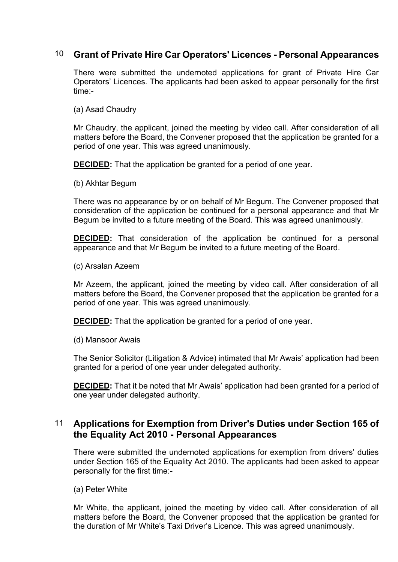### 10 **Grant of Private Hire Car Operators' Licences - Personal Appearances**

There were submitted the undernoted applications for grant of Private Hire Car Operators' Licences. The applicants had been asked to appear personally for the first time:-

(a) Asad Chaudry

Mr Chaudry, the applicant, joined the meeting by video call. After consideration of all matters before the Board, the Convener proposed that the application be granted for a period of one year. This was agreed unanimously.

**DECIDED:** That the application be granted for a period of one year.

(b) Akhtar Begum

There was no appearance by or on behalf of Mr Begum. The Convener proposed that consideration of the application be continued for a personal appearance and that Mr Begum be invited to a future meeting of the Board. This was agreed unanimously.

**DECIDED:** That consideration of the application be continued for a personal appearance and that Mr Begum be invited to a future meeting of the Board.

(c) Arsalan Azeem

Mr Azeem, the applicant, joined the meeting by video call. After consideration of all matters before the Board, the Convener proposed that the application be granted for a period of one year. This was agreed unanimously.

**DECIDED:** That the application be granted for a period of one year.

(d) Mansoor Awais

The Senior Solicitor (Litigation & Advice) intimated that Mr Awais' application had been granted for a period of one year under delegated authority.

**DECIDED:** That it be noted that Mr Awais' application had been granted for a period of one year under delegated authority.

### 11 **Applications for Exemption from Driver's Duties under Section 165 of the Equality Act 2010 - Personal Appearances**

There were submitted the undernoted applications for exemption from drivers' duties under Section 165 of the Equality Act 2010. The applicants had been asked to appear personally for the first time:-

(a) Peter White

Mr White, the applicant, joined the meeting by video call. After consideration of all matters before the Board, the Convener proposed that the application be granted for the duration of Mr White's Taxi Driver's Licence. This was agreed unanimously.